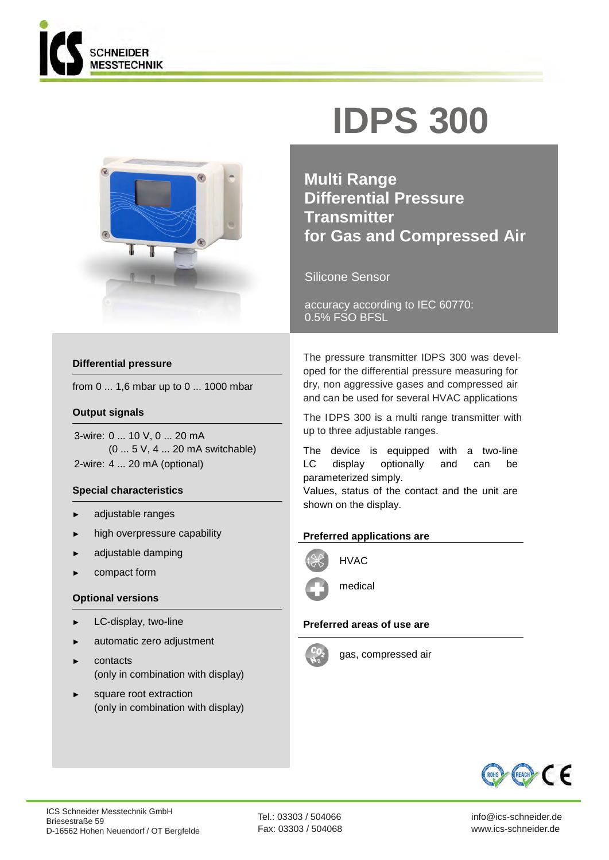



### **Differential pressure**

from 0 ... 1,6 mbar up to 0 ... 1000 mbar

### **Output signals**

3-wire: 0 ... 10 V, 0 ... 20 mA (0 ... 5 V, 4 ... 20 mA switchable) 2-wire: 4 ... 20 mA (optional)

### **Special characteristics**

- adjustable ranges
- ► high overpressure capability
- adjustable damping
- compact form

### **Optional versions**

- LC-display, two-line
- ► automatic zero adjustment
- contacts (only in combination with display)
- square root extraction (only in combination with display)

# **IDPS 300**

**Multi Range Differential Pressure Transmitter for Gas and Compressed Air**

Silicone Sensor

accuracy according to IEC 60770: 0.5% FSO BFSL

The pressure transmitter IDPS 300 was developed for the differential pressure measuring for dry, non aggressive gases and compressed air and can be used for several HVAC applications

The IDPS 300 is a multi range transmitter with up to three adjustable ranges.

The device is equipped with a two-line LC display optionally and can be parameterized simply.

Values, status of the contact and the unit are shown on the display.

### **Preferred applications are**



medical

### **Preferred areas of use are**



gas, compressed air

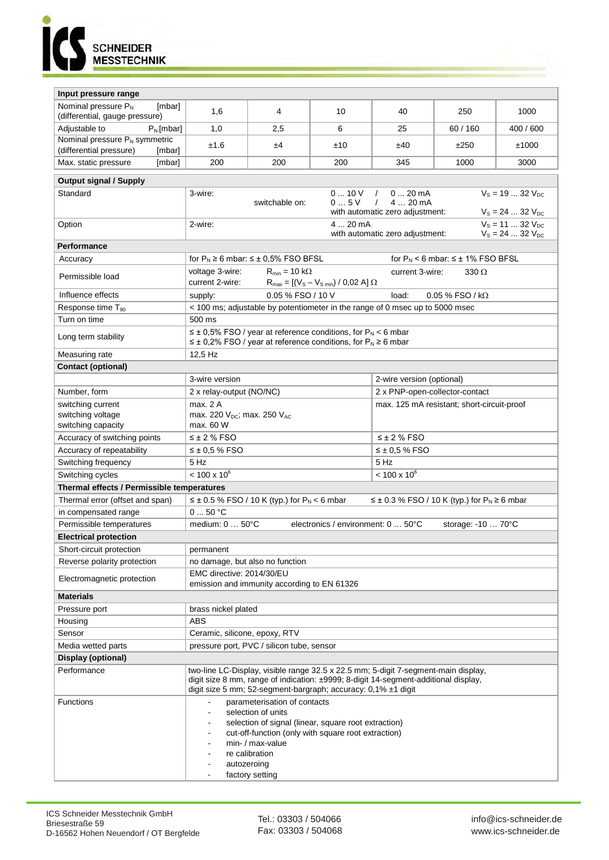

| Input pressure range                                                                                    |                                                                                                                                                                          |     |     |                                |           |      |  |  |  |  |  |
|---------------------------------------------------------------------------------------------------------|--------------------------------------------------------------------------------------------------------------------------------------------------------------------------|-----|-----|--------------------------------|-----------|------|--|--|--|--|--|
| Nominal pressure P <sub>N</sub><br>[mbar]                                                               |                                                                                                                                                                          |     |     |                                |           |      |  |  |  |  |  |
| (differential, gauge pressure)                                                                          | 1,6                                                                                                                                                                      | 4   | 10  | 40<br>25                       | 250       | 1000 |  |  |  |  |  |
| Adjustable to<br>$P_N$ [mbar]                                                                           | 1,0                                                                                                                                                                      | 2,5 | 6   | 60 / 160                       | 400 / 600 |      |  |  |  |  |  |
| Nominal pressure P <sub>N</sub> symmetric                                                               | ±1.6                                                                                                                                                                     | ±4  | ±10 | ±250                           | ±1000     |      |  |  |  |  |  |
| (differential pressure)<br>[mbar]                                                                       | 200                                                                                                                                                                      | 200 | 200 | 345                            | 1000      | 3000 |  |  |  |  |  |
| Max. static pressure<br>[mbar]                                                                          |                                                                                                                                                                          |     |     |                                |           |      |  |  |  |  |  |
| <b>Output signal / Supply</b>                                                                           |                                                                                                                                                                          |     |     |                                |           |      |  |  |  |  |  |
| Standard                                                                                                | 010V<br>$020$ mA<br>$V_s = 1932 V_{DC}$<br>3-wire:<br>$\sqrt{2}$                                                                                                         |     |     |                                |           |      |  |  |  |  |  |
|                                                                                                         | 05V<br>4  20 mA<br>switchable on:<br>$\sqrt{2}$<br>$V_s = 24  32 V_{DC}$<br>with automatic zero adjustment:                                                              |     |     |                                |           |      |  |  |  |  |  |
| Option                                                                                                  | 4  20 mA<br>$V_s = 11  32 V_{DC}$<br>2-wire:                                                                                                                             |     |     |                                |           |      |  |  |  |  |  |
|                                                                                                         | with automatic zero adjustment:<br>$V_S = 24  32 V_{DC}$                                                                                                                 |     |     |                                |           |      |  |  |  |  |  |
| Performance                                                                                             |                                                                                                                                                                          |     |     |                                |           |      |  |  |  |  |  |
| Accuracy                                                                                                | for $P_N \ge 6$ mbar: $\le \pm 0.5\%$ FSO BFSL<br>for $P_N$ < 6 mbar: $\leq \pm 1\%$ FSO BFSL                                                                            |     |     |                                |           |      |  |  |  |  |  |
| Permissible load                                                                                        | voltage 3-wire:<br>$R_{min} = 10 k\Omega$<br>current 3-wire:<br>$330 \Omega$                                                                                             |     |     |                                |           |      |  |  |  |  |  |
|                                                                                                         | current 2-wire:<br>$R_{\text{max}} = [(V_{\text{S}} - V_{\text{S min}}) / 0.02 \text{ A}] \Omega$                                                                        |     |     |                                |           |      |  |  |  |  |  |
| Influence effects                                                                                       | 0.05 % FSO / 10 V<br>load:<br>$0.05\%$ FSO / kΩ<br>supply:                                                                                                               |     |     |                                |           |      |  |  |  |  |  |
| Response time T <sub>90</sub>                                                                           | < 100 ms; adjustable by potentiometer in the range of 0 msec up to 5000 msec                                                                                             |     |     |                                |           |      |  |  |  |  |  |
| Turn on time                                                                                            | 500 ms                                                                                                                                                                   |     |     |                                |           |      |  |  |  |  |  |
| Long term stability                                                                                     | $\leq \pm 0.5\%$ FSO / year at reference conditions, for P <sub>N</sub> < 6 mbar<br>$\leq \pm$ 0,2% FSO / year at reference conditions, for P <sub>N</sub> $\geq$ 6 mbar |     |     |                                |           |      |  |  |  |  |  |
| 12,5 Hz<br>Measuring rate                                                                               |                                                                                                                                                                          |     |     |                                |           |      |  |  |  |  |  |
| <b>Contact (optional)</b>                                                                               |                                                                                                                                                                          |     |     |                                |           |      |  |  |  |  |  |
|                                                                                                         | 3-wire version                                                                                                                                                           |     |     | 2-wire version (optional)      |           |      |  |  |  |  |  |
| Number, form                                                                                            | 2 x relay-output (NO/NC)                                                                                                                                                 |     |     | 2 x PNP-open-collector-contact |           |      |  |  |  |  |  |
| switching current                                                                                       | max. 2 A<br>max. 125 mA resistant; short-circuit-proof                                                                                                                   |     |     |                                |           |      |  |  |  |  |  |
| switching voltage                                                                                       | max. 220 V <sub>DC</sub> ; max. 250 V <sub>AC</sub>                                                                                                                      |     |     |                                |           |      |  |  |  |  |  |
| switching capacity                                                                                      | max. 60 W                                                                                                                                                                |     |     |                                |           |      |  |  |  |  |  |
| Accuracy of switching points                                                                            | $\leq$ ± 2 % FSO                                                                                                                                                         |     |     | $\leq$ ± 2 % FSO               |           |      |  |  |  |  |  |
| Accuracy of repeatability                                                                               | $\leq \pm 0.5$ % FSO<br>$\leq \pm 0.5$ % FSO                                                                                                                             |     |     |                                |           |      |  |  |  |  |  |
| Switching frequency                                                                                     | 5 Hz                                                                                                                                                                     |     |     | 5 Hz                           |           |      |  |  |  |  |  |
| Switching cycles                                                                                        | $< 100 \times 10^{6}$                                                                                                                                                    |     |     | $< 100 \times 10^6$            |           |      |  |  |  |  |  |
| Thermal effects / Permissible temperatures                                                              |                                                                                                                                                                          |     |     |                                |           |      |  |  |  |  |  |
| Thermal error (offset and span)                                                                         | ≤ ± 0.5 % FSO / 10 K (typ.) for $P_N$ < 6 mbar<br>$\leq \pm 0.3$ % FSO / 10 K (typ.) for P <sub>N</sub> $\geq 6$ mbar                                                    |     |     |                                |           |      |  |  |  |  |  |
| in compensated range                                                                                    | 050 °C                                                                                                                                                                   |     |     |                                |           |      |  |  |  |  |  |
| Permissible temperatures<br>medium: 0  50°C<br>electronics / environment: 0  50°C<br>storage: -10  70°C |                                                                                                                                                                          |     |     |                                |           |      |  |  |  |  |  |
| <b>Electrical protection</b>                                                                            |                                                                                                                                                                          |     |     |                                |           |      |  |  |  |  |  |
| Short-circuit protection<br>Reverse polarity protection                                                 | permanent                                                                                                                                                                |     |     |                                |           |      |  |  |  |  |  |
|                                                                                                         | no damage, but also no function<br>EMC directive: 2014/30/EU                                                                                                             |     |     |                                |           |      |  |  |  |  |  |
| Electromagnetic protection                                                                              | emission and immunity according to EN 61326                                                                                                                              |     |     |                                |           |      |  |  |  |  |  |
| <b>Materials</b>                                                                                        |                                                                                                                                                                          |     |     |                                |           |      |  |  |  |  |  |
| Pressure port                                                                                           | brass nickel plated                                                                                                                                                      |     |     |                                |           |      |  |  |  |  |  |
| Housing                                                                                                 | <b>ABS</b>                                                                                                                                                               |     |     |                                |           |      |  |  |  |  |  |
| Sensor                                                                                                  | Ceramic, silicone, epoxy, RTV                                                                                                                                            |     |     |                                |           |      |  |  |  |  |  |
| Media wetted parts                                                                                      | pressure port, PVC / silicon tube, sensor                                                                                                                                |     |     |                                |           |      |  |  |  |  |  |
| Display (optional)                                                                                      |                                                                                                                                                                          |     |     |                                |           |      |  |  |  |  |  |
| Performance<br>two-line LC-Display, visible range 32.5 x 22.5 mm; 5-digit 7-segment-main display,       |                                                                                                                                                                          |     |     |                                |           |      |  |  |  |  |  |
|                                                                                                         | digit size 8 mm, range of indication: ±9999; 8-digit 14-segment-additional display,<br>digit size 5 mm; 52-segment-bargraph; accuracy: 0,1% ±1 digit                     |     |     |                                |           |      |  |  |  |  |  |
| Functions                                                                                               | parameterisation of contacts                                                                                                                                             |     |     |                                |           |      |  |  |  |  |  |
|                                                                                                         | selection of units<br>$\blacksquare$                                                                                                                                     |     |     |                                |           |      |  |  |  |  |  |
|                                                                                                         | selection of signal (linear, square root extraction)                                                                                                                     |     |     |                                |           |      |  |  |  |  |  |
|                                                                                                         | cut-off-function (only with square root extraction)<br>min- / max-value                                                                                                  |     |     |                                |           |      |  |  |  |  |  |
|                                                                                                         | re calibration                                                                                                                                                           |     |     |                                |           |      |  |  |  |  |  |
|                                                                                                         | autozeroing                                                                                                                                                              |     |     |                                |           |      |  |  |  |  |  |
|                                                                                                         | factory setting                                                                                                                                                          |     |     |                                |           |      |  |  |  |  |  |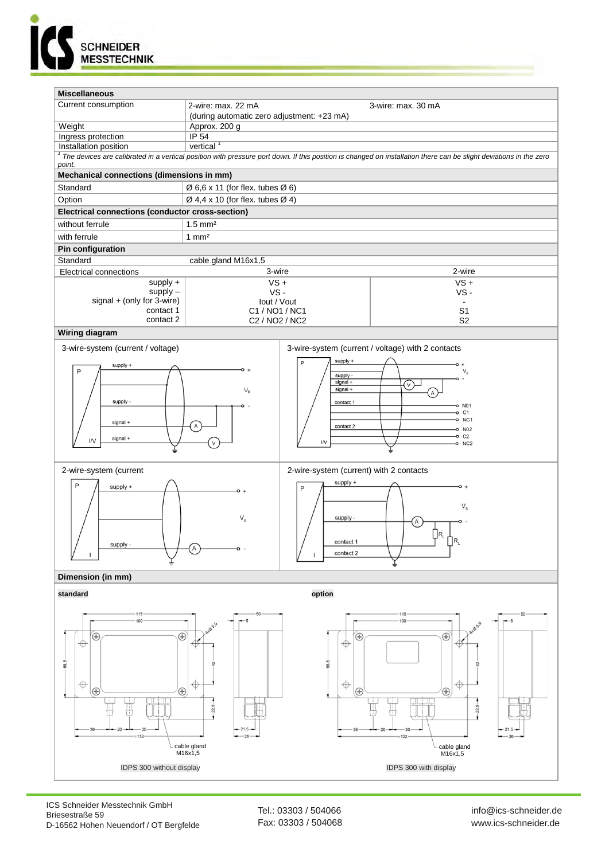



ICS Schneider Messtechnik GmbH Briesestraße 59 D-16562 Hohen Neuendorf / OT Bergfelde

Tel.: 03303 / 504066 Fax: 03303 / 504068 info@ics-schneider.de www.ics-schneider.de